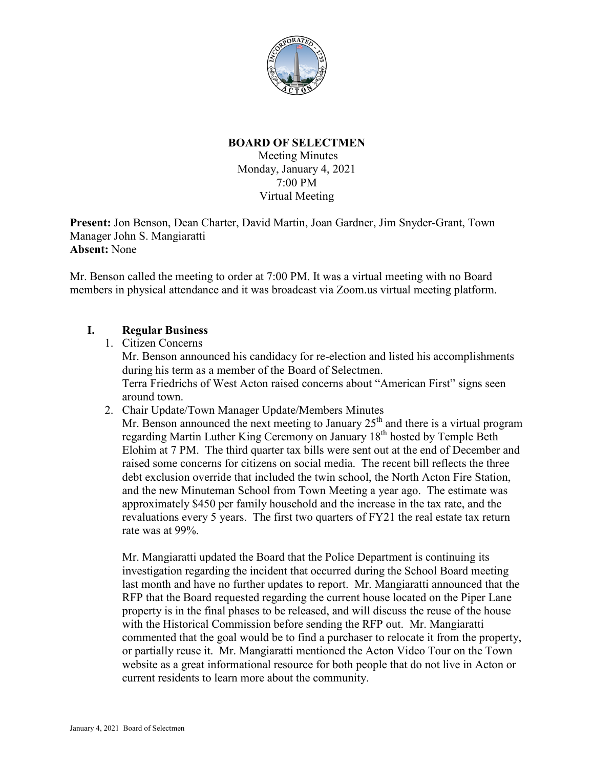

# **BOARD OF SELECTMEN**

Meeting Minutes Monday, January 4, 2021 7:00 PM Virtual Meeting

**Present:** Jon Benson, Dean Charter, David Martin, Joan Gardner, Jim Snyder-Grant, Town Manager John S. Mangiaratti **Absent:** None

Mr. Benson called the meeting to order at 7:00 PM. It was a virtual meeting with no Board members in physical attendance and it was broadcast via Zoom.us virtual meeting platform.

# **I. Regular Business**

- 1. Citizen Concerns Mr. Benson announced his candidacy for re-election and listed his accomplishments during his term as a member of the Board of Selectmen. Terra Friedrichs of West Acton raised concerns about "American First" signs seen around town.
- 2. Chair Update/Town Manager Update/Members Minutes

Mr. Benson announced the next meeting to January  $25<sup>th</sup>$  and there is a virtual program regarding Martin Luther King Ceremony on January 18<sup>th</sup> hosted by Temple Beth Elohim at 7 PM. The third quarter tax bills were sent out at the end of December and raised some concerns for citizens on social media. The recent bill reflects the three debt exclusion override that included the twin school, the North Acton Fire Station, and the new Minuteman School from Town Meeting a year ago. The estimate was approximately \$450 per family household and the increase in the tax rate, and the revaluations every 5 years. The first two quarters of FY21 the real estate tax return rate was at 99%.

Mr. Mangiaratti updated the Board that the Police Department is continuing its investigation regarding the incident that occurred during the School Board meeting last month and have no further updates to report. Mr. Mangiaratti announced that the RFP that the Board requested regarding the current house located on the Piper Lane property is in the final phases to be released, and will discuss the reuse of the house with the Historical Commission before sending the RFP out. Mr. Mangiaratti commented that the goal would be to find a purchaser to relocate it from the property, or partially reuse it. Mr. Mangiaratti mentioned the Acton Video Tour on the Town website as a great informational resource for both people that do not live in Acton or current residents to learn more about the community.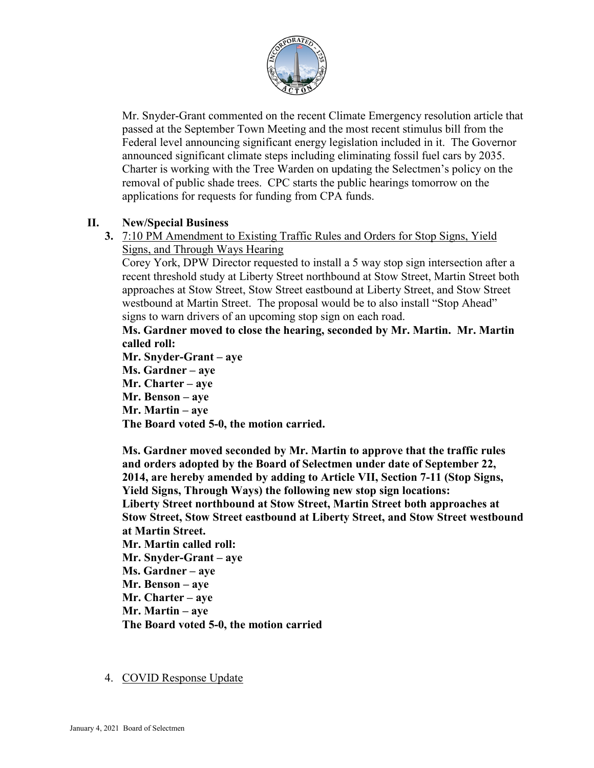

Mr. Snyder-Grant commented on the recent Climate Emergency resolution article that passed at the September Town Meeting and the most recent stimulus bill from the Federal level announcing significant energy legislation included in it. The Governor announced significant climate steps including eliminating fossil fuel cars by 2035. Charter is working with the Tree Warden on updating the Selectmen's policy on the removal of public shade trees. CPC starts the public hearings tomorrow on the applications for requests for funding from CPA funds.

# **II. New/Special Business**

**3.** 7:10 PM Amendment to Existing Traffic Rules and Orders for Stop Signs, Yield Signs, and Through Ways Hearing

Corey York, DPW Director requested to install a 5 way stop sign intersection after a recent threshold study at Liberty Street northbound at Stow Street, Martin Street both approaches at Stow Street, Stow Street eastbound at Liberty Street, and Stow Street westbound at Martin Street. The proposal would be to also install "Stop Ahead" signs to warn drivers of an upcoming stop sign on each road.

**Ms. Gardner moved to close the hearing, seconded by Mr. Martin. Mr. Martin called roll:**

**Mr. Snyder-Grant – aye Ms. Gardner – aye Mr. Charter – aye Mr. Benson – aye Mr. Martin – aye The Board voted 5-0, the motion carried.**

**Ms. Gardner moved seconded by Mr. Martin to approve that the traffic rules and orders adopted by the Board of Selectmen under date of September 22, 2014, are hereby amended by adding to Article VII, Section 7-11 (Stop Signs, Yield Signs, Through Ways) the following new stop sign locations: Liberty Street northbound at Stow Street, Martin Street both approaches at Stow Street, Stow Street eastbound at Liberty Street, and Stow Street westbound at Martin Street.**

**Mr. Martin called roll: Mr. Snyder-Grant – aye Ms. Gardner – aye Mr. Benson – aye Mr. Charter – aye**

**Mr. Martin – aye**

**The Board voted 5-0, the motion carried**

# 4. COVID Response Update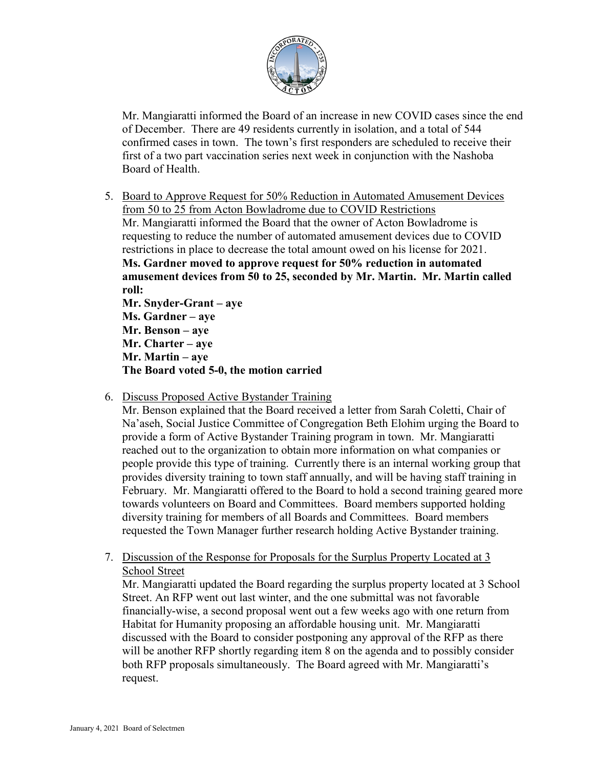

Mr. Mangiaratti informed the Board of an increase in new COVID cases since the end of December. There are 49 residents currently in isolation, and a total of 544 confirmed cases in town. The town's first responders are scheduled to receive their first of a two part vaccination series next week in conjunction with the Nashoba Board of Health.

5. Board to Approve Request for 50% Reduction in Automated Amusement Devices from 50 to 25 from Acton Bowladrome due to COVID Restrictions Mr. Mangiaratti informed the Board that the owner of Acton Bowladrome is requesting to reduce the number of automated amusement devices due to COVID restrictions in place to decrease the total amount owed on his license for 2021. **Ms. Gardner moved to approve request for 50% reduction in automated amusement devices from 50 to 25, seconded by Mr. Martin. Mr. Martin called roll:**

**Mr. Snyder-Grant – aye Ms. Gardner – aye Mr. Benson – aye Mr. Charter – aye Mr. Martin – aye The Board voted 5-0, the motion carried**

6. Discuss Proposed Active Bystander Training

Mr. Benson explained that the Board received a letter from Sarah Coletti, Chair of Na'aseh, Social Justice Committee of Congregation Beth Elohim urging the Board to provide a form of Active Bystander Training program in town. Mr. Mangiaratti reached out to the organization to obtain more information on what companies or people provide this type of training. Currently there is an internal working group that provides diversity training to town staff annually, and will be having staff training in February. Mr. Mangiaratti offered to the Board to hold a second training geared more towards volunteers on Board and Committees. Board members supported holding diversity training for members of all Boards and Committees. Board members requested the Town Manager further research holding Active Bystander training.

7. Discussion of the Response for Proposals for the Surplus Property Located at 3 School Street

Mr. Mangiaratti updated the Board regarding the surplus property located at 3 School Street. An RFP went out last winter, and the one submittal was not favorable financially-wise, a second proposal went out a few weeks ago with one return from Habitat for Humanity proposing an affordable housing unit. Mr. Mangiaratti discussed with the Board to consider postponing any approval of the RFP as there will be another RFP shortly regarding item 8 on the agenda and to possibly consider both RFP proposals simultaneously. The Board agreed with Mr. Mangiaratti's request.